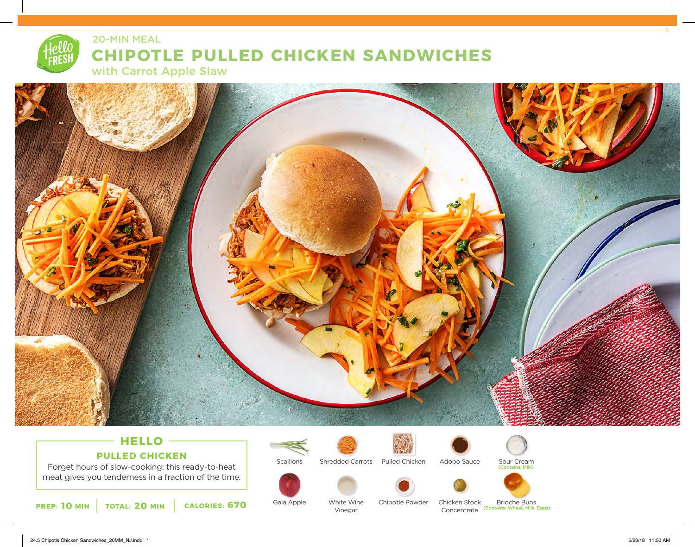# **CHIPOTLE PULLED CHICKEN SANDWICHES** 20-MIN MEAL

with Carrot Apple Slaw



## **HELLO PULLED CHICKEN**

Forget hours of slow-cooking: this ready-to-heat meat gives you tenderness in a fraction of the time.



**Scallions** 

Gala Apple



White Wine Vinegar



Shredded Carrots Pulled Chicken





Sour Cream (Contains: Milk)





Chicken Stock Concentrate (Contains: Wheat, Milk, Eggs) Brioche Buns

24.5 Chipotle Chicken Sandwiches\_20MM\_NJ.indd 1 5/23/18 11:50 AM